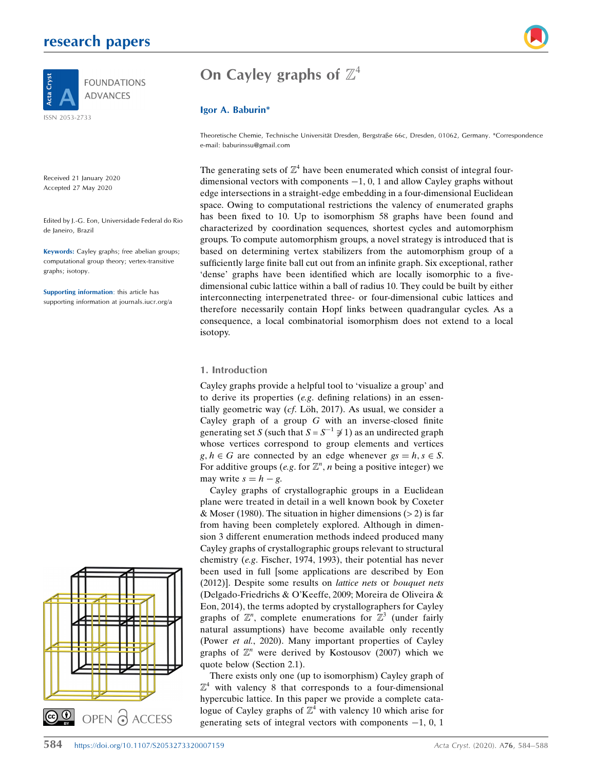# research papers



Received 21 January 2020 Accepted 27 May 2020

Edited by J.-G. Eon, Universidade Federal do Rio de Janeiro, Brazil

Keywords: Cayley graphs; free abelian groups; computational group theory; vertex-transitive graphs; isotopy.

Supporting information: this article has supporting information at journals.iucr.org/a



# On Cayley graphs of  $\mathbb{Z}^4$

### Igor A. Baburin\*

Theoretische Chemie, Technische Universität Dresden, Bergstraße 66c, Dresden, 01062, Germany. \*Correspondence e-mail: baburinssu@gmail.com

The generating sets of  $\mathbb{Z}^4$  have been enumerated which consist of integral fourdimensional vectors with components  $-1$ , 0, 1 and allow Cayley graphs without edge intersections in a straight-edge embedding in a four-dimensional Euclidean space. Owing to computational restrictions the valency of enumerated graphs has been fixed to 10. Up to isomorphism 58 graphs have been found and characterized by coordination sequences, shortest cycles and automorphism groups. To compute automorphism groups, a novel strategy is introduced that is based on determining vertex stabilizers from the automorphism group of a sufficiently large finite ball cut out from an infinite graph. Six exceptional, rather 'dense' graphs have been identified which are locally isomorphic to a fivedimensional cubic lattice within a ball of radius 10. They could be built by either interconnecting interpenetrated three- or four-dimensional cubic lattices and therefore necessarily contain Hopf links between quadrangular cycles. As a consequence, a local combinatorial isomorphism does not extend to a local isotopy.

### 1. Introduction

Cayley graphs provide a helpful tool to 'visualize a group' and to derive its properties (e.g. defining relations) in an essentially geometric way ( $cf.$  Löh, 2017). As usual, we consider a Cayley graph of a group  $G$  with an inverse-closed finite generating set S (such that  $S = S^{-1} \not\supseteq 1$ ) as an undirected graph whose vertices correspond to group elements and vertices  $g, h \in G$  are connected by an edge whenever  $gs = h, s \in S$ . For additive groups (e.g. for  $\mathbb{Z}^n$ , *n* being a positive integer) we<br>may write  $s = h - a$ may write  $s = h - g$ .

Cayley graphs of crystallographic groups in a Euclidean plane were treated in detail in a well known book by Coxeter & Moser (1980). The situation in higher dimensions ( $> 2$ ) is far from having been completely explored. Although in dimension 3 different enumeration methods indeed produced many Cayley graphs of crystallographic groups relevant to structural chemistry (e.g. Fischer, 1974, 1993), their potential has never been used in full [some applications are described by Eon (2012)]. Despite some results on lattice nets or bouquet nets (Delgado-Friedrichs & O'Keeffe, 2009; Moreira de Oliveira & Eon, 2014), the terms adopted by crystallographers for Cayley graphs of  $\mathbb{Z}^n$ , complete enumerations for  $\mathbb{Z}^3$  (under fairly<br>natural assumptions) have become available only recently natural assumptions) have become available only recently (Power et al., 2020). Many important properties of Cayley graphs of  $\mathbb{Z}^n$  were derived by Kostousov (2007) which we quote below (Section 2.1).

There exists only one (up to isomorphism) Cayley graph of  $\mathbb{Z}^4$  with valency 8 that corresponds to a four-dimensional hypercubic lattice. In this paper we provide a complete catalogue of Cayley graphs of  $\mathbb{Z}^4$  with valency 10 which arise for generating sets of integral vectors with components  $-1$ , 0, 1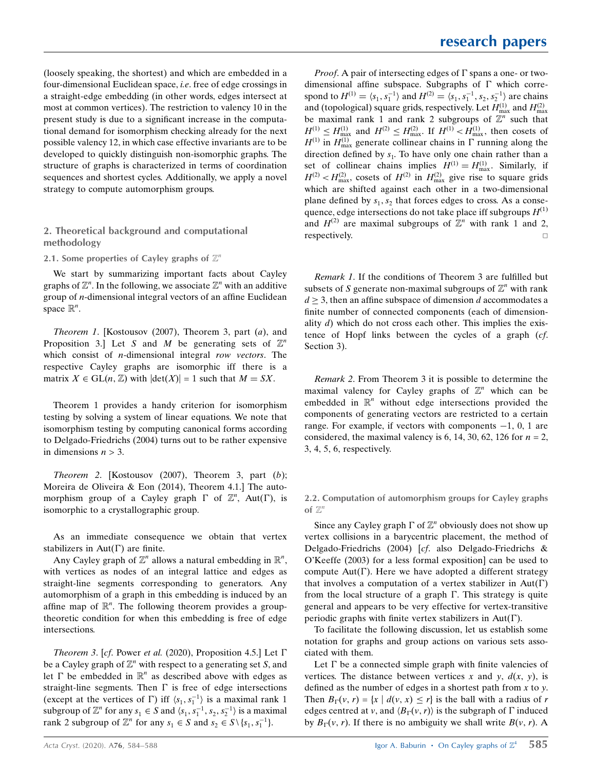(loosely speaking, the shortest) and which are embedded in a four-dimensional Euclidean space, i.e. free of edge crossings in a straight-edge embedding (in other words, edges intersect at most at common vertices). The restriction to valency 10 in the present study is due to a significant increase in the computational demand for isomorphism checking already for the next possible valency 12, in which case effective invariants are to be developed to quickly distinguish non-isomorphic graphs. The structure of graphs is characterized in terms of coordination sequences and shortest cycles. Additionally, we apply a novel strategy to compute automorphism groups.

## 2. Theoretical background and computational methodology

2.1. Some properties of Cayley graphs of  $\mathbb{Z}^n$ 

We start by summarizing important facts about Cayley graphs of  $\mathbb{Z}^n$ . In the following, we associate  $\mathbb{Z}^n$  with an additive aroun of *n*-dimensional integral vectors of an affine Euclidean group of n-dimensional integral vectors of an affine Euclidean space  $\mathbb{R}^n$ .

Theorem 1. [Kostousov (2007), Theorem 3, part (a), and Proposition 3.1 Let S and M be generating sets of  $\mathbb{Z}^n$ which consist of *n*-dimensional integral row vectors. The respective Cayley graphs are isomorphic iff there is a matrix  $X \in GL(n, \mathbb{Z})$  with  $|\det(X)| = 1$  such that  $M = SX$ .

Theorem 1 provides a handy criterion for isomorphism testing by solving a system of linear equations. We note that isomorphism testing by computing canonical forms according to Delgado-Friedrichs (2004) turns out to be rather expensive in dimensions  $n > 3$ .

Theorem 2. [Kostousov (2007), Theorem 3, part (b); Moreira de Oliveira & Eon (2014), Theorem 4.1.] The automorphism group of a Cayley graph  $\Gamma$  of  $\mathbb{Z}^n$ , Aut( $\Gamma$ ), is<br>isomorphic to a crystallographic group isomorphic to a crystallographic group.

As an immediate consequence we obtain that vertex stabilizers in  $Aut(\Gamma)$  are finite.

Any Cayley graph of  $\mathbb{Z}^n$  allows a natural embedding in  $\mathbb{R}^n$ ,<br>the vertices as nodes of an integral lattice and edges as with vertices as nodes of an integral lattice and edges as straight-line segments corresponding to generators. Any automorphism of a graph in this embedding is induced by an affine map of  $\mathbb{R}^n$ . The following theorem provides a group-<br>theoretic condition for when this embedding is free of edge theoretic condition for when this embedding is free of edge intersections.

Theorem 3. [cf. Power et al. (2020), Proposition 4.5.] Let  $\Gamma$ be a Cayley graph of  $\mathbb{Z}^n$  with respect to a generating set S, and let  $\Gamma$  be embedded in  $\mathbb{R}^n$  as described above with edges as straight-line segments. Then  $\Gamma$  is free of edge intersections straight-line segments. Then  $\Gamma$  is free of edge intersections (except at the vertices of  $\Gamma$ ) iff  $\langle s_1, s_1^{-1} \rangle$  is a maximal rank 1 subgroup of  $\mathbb{Z}^n$  for any  $s_1 \in S$  and  $\langle s_1, s_1^{-1}, s_2, s_2^{-1} \rangle$  is a maximal<br>rank 2 subgroup of  $\mathbb{Z}^n$  for any  $s_1 \in S$  and  $s_2 \in S \setminus \{s_1, s_2^{-1}\}$ rank 2 subgroup of  $\mathbb{Z}^n$  for any  $s_1 \in S$  and  $s_2 \in S \setminus \{s_1, s_1^{-1}\}.$ 

*Proof.* A pair of intersecting edges of  $\Gamma$  spans a one- or twodimensional affine subspace. Subgraphs of  $\Gamma$  which correspond to  $H^{(1)} = \langle s_1, s_1^{-1} \rangle$  and  $H^{(2)} = \langle s_1, s_1^{-1}, s_2, s_2^{-1} \rangle$  are chains and (topological) square grids, respectively. Let  $H_{\text{max}}^{(1)}$  and  $H_{\text{max}}^{(2)}$ be maximal rank 1 and rank 2 subgroups of  $\mathbb{Z}^n$  such that  $H^{(1)} \le H_{\text{max}}^{(1)}$  and  $H^{(2)} \le H_{\text{max}}^{(2)}$ . If  $H^{(1)} < H_{\text{max}}^{(1)}$ , then cosets of  $H^{(1)}$  in  $H_{\text{max}}^{(1)}$  generate collinear chains in  $\Gamma$  running along the direction defined by  $s_1$ . To have only one chain rather than a set of collinear chains implies  $H^{(1)} = H_{\text{max}}^{(1)}$ . Similarly, if  $H^{(2)} < H_{\text{max}}^{(2)}$ , cosets of  $H^{(2)}$  in  $H_{\text{max}}^{(2)}$  give rise to square grids which are shifted against each other in a two-dimensional plane defined by  $s_1, s_2$  that forces edges to cross. As a consequence, edge intersections do not take place iff subgroups  $H^{(1)}$ and  $H^{(2)}$  are maximal subgroups of  $\mathbb{Z}^n$  with rank 1 and 2, respectively.

Remark 1. If the conditions of Theorem 3 are fulfilled but subsets of S generate non-maximal subgroups of  $\mathbb{Z}^n$  with rank  $d > 3$ , then an affine subspace of dimension d accommodates a finite number of connected components (each of dimensionality  $d$ ) which do not cross each other. This implies the existence of Hopf links between the cycles of a graph (cf. Section 3).

Remark 2. From Theorem 3 it is possible to determine the maximal valency for Cayley graphs of  $\mathbb{Z}^n$  which can be embedded in  $\mathbb{R}^n$  without edge intersections provided the components of generating vectors are restricted to a certain range. For example, if vectors with components  $-1$ , 0, 1 are considered, the maximal valency is 6, 14, 30, 62, 126 for  $n = 2$ , 3, 4, 5, 6, respectively.

2.2. Computation of automorphism groups for Cayley graphs of  $\mathbb{Z}^n$ 

Since any Cayley graph  $\Gamma$  of  $\mathbb{Z}^n$  obviously does not show up<br>they collisions in a barycentric placement, the method of vertex collisions in a barycentric placement, the method of Delgado-Friedrichs (2004) [cf. also Delgado-Friedrichs & O'Keeffe (2003) for a less formal exposition] can be used to compute Aut( $\Gamma$ ). Here we have adopted a different strategy that involves a computation of a vertex stabilizer in  $Aut( \Gamma)$ from the local structure of a graph  $\Gamma$ . This strategy is quite general and appears to be very effective for vertex-transitive periodic graphs with finite vertex stabilizers in  $Aut(\Gamma)$ .

To facilitate the following discussion, let us establish some notation for graphs and group actions on various sets associated with them.

Let  $\Gamma$  be a connected simple graph with finite valencies of vertices. The distance between vertices x and y,  $d(x, y)$ , is defined as the number of edges in a shortest path from  $x$  to  $y$ . Then  $B_{\Gamma}(v, r) = \{x \mid d(v, x) \leq r\}$  is the ball with a radius of r edges centred at v, and  $\langle B_{\Gamma}(v, r) \rangle$  is the subgraph of  $\Gamma$  induced by  $B_{\Gamma}(v, r)$ . If there is no ambiguity we shall write  $B(v, r)$ . A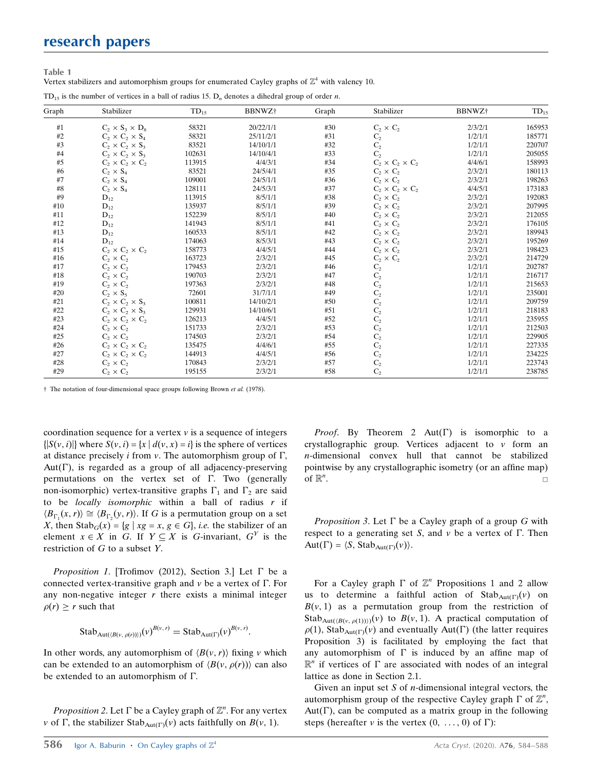# research papers

Table 1

| Vertex stabilizers and automorphism groups for enumerated Cayley graphs of $\mathbb{Z}^4$ with valency 10. |  |  |  |  |  |  |
|------------------------------------------------------------------------------------------------------------|--|--|--|--|--|--|
|                                                                                                            |  |  |  |  |  |  |

|  |  |  |  |  |  |  |  |  |  |  |  |  |  | $TD_{15}$ is the number of vertices in a ball of radius 15. $D_n$ denotes a dihedral group of order <i>n</i> . |  |  |  |  |
|--|--|--|--|--|--|--|--|--|--|--|--|--|--|----------------------------------------------------------------------------------------------------------------|--|--|--|--|
|--|--|--|--|--|--|--|--|--|--|--|--|--|--|----------------------------------------------------------------------------------------------------------------|--|--|--|--|

| Graph | Stabilizer                  | $TD_{15}$ | BBNWZ <sup>+</sup> | Graph | Stabilizer                  | BBNWZ <sup>+</sup> | $TD_{15}$ |
|-------|-----------------------------|-----------|--------------------|-------|-----------------------------|--------------------|-----------|
| #1    | $C_2 \times S_3 \times D_8$ | 58321     | 20/22/1/1          | #30   | $C_2 \times C_2$            | 2/3/2/1            | 165953    |
| #2    | $C_2 \times C_2 \times S_4$ | 58321     | 25/11/2/1          | #31   | $C_2$                       | 1/2/1/1            | 185771    |
| #3    | $C_2 \times C_2 \times S_3$ | 83521     | 14/10/1/1          | #32   | $\mathbf{C}_2$              | 1/2/1/1            | 220707    |
| #4    | $C_2 \times C_2 \times S_3$ | 102631    | 14/10/4/1          | #33   | C <sub>2</sub>              | 1/2/1/1            | 205055    |
| #5    | $C_2 \times C_2 \times C_2$ | 113915    | 4/4/3/1            | #34   | $C_2 \times C_2 \times C_2$ | 4/4/6/1            | 158993    |
| #6    | $C_2 \times S_4$            | 83521     | 24/5/4/1           | #35   | $C_2 \times C_2$            | 2/3/2/1            | 180113    |
| #7    | $C_2 \times S_4$            | 109001    | 24/5/1/1           | #36   | $C_2 \times C_2$            | 2/3/2/1            | 198263    |
| #8    | $C_2 \times S_4$            | 128111    | 24/5/3/1           | #37   | $C_2 \times C_2 \times C_2$ | 4/4/5/1            | 173183    |
| #9    | $D_{12}$                    | 113915    | 8/5/1/1            | #38   | $C_2 \times C_2$            | 2/3/2/1            | 192083    |
| #10   | $D_{12}$                    | 135937    | 8/5/1/1            | #39   | $C_2 \times C_2$            | 2/3/2/1            | 207995    |
| #11   | $D_{12}$                    | 152239    | 8/5/1/1            | #40   | $C_2 \times C_2$            | 2/3/2/1            | 212055    |
| #12   | $D_{12}$                    | 141943    | 8/5/1/1            | #41   | $C_2 \times C_2$            | 2/3/2/1            | 176105    |
| #13   | $D_{12}$                    | 160533    | 8/5/1/1            | #42   | $C_2 \times C_2$            | 2/3/2/1            | 189943    |
| #14   | $D_{12}$                    | 174063    | 8/5/3/1            | #43   | $C_2 \times C_2$            | 2/3/2/1            | 195269    |
| #15   | $C_2 \times C_2 \times C_2$ | 158773    | 4/4/5/1            | #44   | $C_2 \times C_2$            | 2/3/2/1            | 198423    |
| #16   | $C_2 \times C_2$            | 163723    | 2/3/2/1            | #45   | $C_2 \times C_2$            | 2/3/2/1            | 214729    |
| #17   | $C_2 \times C_2$            | 179453    | 2/3/2/1            | #46   | $C_2$                       | 1/2/1/1            | 202787    |
| #18   | $C_2 \times C_2$            | 190703    | 2/3/2/1            | #47   | $C_2$                       | 1/2/1/1            | 216717    |
| #19   | $C_2 \times C_2$            | 197363    | 2/3/2/1            | #48   | $\mathrm{C}_2$              | 1/2/1/1            | 215653    |
| #20   | $C_2 \times S_5$            | 72601     | 31/7/1/1           | #49   | $\mathrm{C}_2$              | 1/2/1/1            | 235001    |
| #21   | $C_2 \times C_2 \times S_3$ | 100811    | 14/10/2/1          | #50   | $\mathrm{C}_2$              | 1/2/1/1            | 209759    |
| #22   | $C_2 \times C_2 \times S_3$ | 129931    | 14/10/6/1          | #51   | $\mathbf{C}_2$              | 1/2/1/1            | 218183    |
| #23   | $C_2 \times C_2 \times C_2$ | 126213    | 4/4/5/1            | #52   | $\mathbf{C}_2$              | 1/2/1/1            | 235955    |
| #24   | $C_2 \times C_2$            | 151733    | 2/3/2/1            | #53   | $\mathbf{C}_2$              | 1/2/1/1            | 212503    |
| #25   | $C_2 \times C_2$            | 174503    | 2/3/2/1            | #54   | $\mathbf{C}_2$              | 1/2/1/1            | 229905    |
| #26   | $C_2 \times C_2 \times C_2$ | 135475    | 4/4/6/1            | #55   | $\mathrm{C}_2$              | 1/2/1/1            | 227335    |
| #27   | $C_2 \times C_2 \times C_2$ | 144913    | 4/4/5/1            | #56   | $\mathrm{C}_2$              | 1/2/1/1            | 234225    |
| #28   | $C_2 \times C_2$            | 170843    | 2/3/2/1            | #57   | $C_2$                       | 1/2/1/1            | 223743    |
| #29   | $C_2 \times C_2$            | 195155    | 2/3/2/1            | #58   | $C_{2}$                     | 1/2/1/1            | 238785    |

† The notation of four-dimensional space groups following Brown et al. (1978).

coordination sequence for a vertex  $\nu$  is a sequence of integers  $\{|S(v, i)|\}$  where  $S(v, i) = \{x \mid d(v, x) = i\}$  is the sphere of vertices at distance precisely *i* from  $v$ . The automorphism group of  $\Gamma$ ,  $Aut(\Gamma)$ , is regarded as a group of all adjacency-preserving permutations on the vertex set of  $\Gamma$ . Two (generally non-isomorphic) vertex-transitive graphs  $\Gamma_1$  and  $\Gamma_2$  are said to be *locally isomorphic* within a ball of radius  $r$  if  $\langle B_{\Gamma_1}(x,r) \rangle \cong \langle B_{\Gamma_2}(y,r) \rangle$ . If G is a permutation group on a set X, then Stab<sub>G</sub>(x) = {g | xg = x, g  $\in G$ }, *i.e.* the stabilizer of an element  $x \in X$  in G. If  $Y \subseteq X$  is G-invariant,  $G^Y$  is the restriction of G to a subset Y.

*Proposition 1*. [Trofimov (2012), Section 3.] Let  $\Gamma$  be a connected vertex-transitive graph and  $\nu$  be a vertex of  $\Gamma$ . For any non-negative integer  $r$  there exists a minimal integer  $\rho(r) \geq r$  such that

Stab<sub>Aut((B(v, \rho(r))))</sub>
$$
(v)^{B(v, r)} = \text{Stab}_{\text{Aut}(\Gamma)}(v)^{B(v, r)}
$$
.

In other words, any automorphism of  $\langle B(v, r) \rangle$  fixing v which can be extended to an automorphism of  $\langle B(v, \rho(r)) \rangle$  can also be extended to an automorphism of  $\Gamma$ .

Proposition 2. Let  $\Gamma$  be a Cayley graph of  $\mathbb{Z}^n$ . For any vertex of  $\Gamma$  the stabilizer Stab  $\Gamma$  (v) acts faithfully on  $B(y, 1)$  $\nu$  of  $\Gamma$ , the stabilizer Stab<sub>Aut( $\Gamma$ </sub>) $(\nu)$  acts faithfully on  $B(\nu, 1)$ .

*Proof.* By Theorem 2  $Aut(\Gamma)$  is isomorphic to a crystallographic group. Vertices adjacent to  $\nu$  form an n-dimensional convex hull that cannot be stabilized pointwise by any crystallographic isometry (or an affine map) of  $\mathbb{R}^n$ . . The contract of the contract of the contract of the contract of the contract of the contract of the contract of the contract of the contract of the contract of the contract of the contract of the contract of the contract

Proposition 3. Let  $\Gamma$  be a Cayley graph of a group G with respect to a generating set S, and  $\nu$  be a vertex of  $\Gamma$ . Then  $Aut(\Gamma) = \langle S, Stab_{Aut(\Gamma)}(\nu) \rangle.$ 

For a Cayley graph  $\Gamma$  of  $\mathbb{Z}^n$  Propositions 1 and 2 allow<br>to determine a faithful action of Stab  $\mathbb{Z}^{(v)}$  on us to determine a faithful action of  $Stab_{Aut(\Gamma)}(v)$  on  $B(v, 1)$  as a permutation group from the restriction of Stab<sub>Aut((B(v,  $\rho(1)$ ))</sub>(v) to  $B(v, 1)$ . A practical computation of  $\rho(1)$ , Stab<sub>Aut(T)</sub>(v) and eventually Aut(T) (the latter requires Proposition 3) is facilitated by employing the fact that any automorphism of  $\Gamma$  is induced by an affine map of  $\mathbb{R}^n$  if vertices of  $\Gamma$  are associated with nodes of an integral lattice as done in Section 2.1 lattice as done in Section 2.1.

Given an input set  $S$  of *n*-dimensional integral vectors, the automorphism group of the respective Cayley graph  $\Gamma$  of  $\mathbb{Z}^n$ ,<br>Aut( $\Gamma$ ), can be computed as a matrix group in the following Aut( $\Gamma$ ), can be computed as a matrix group in the following steps (hereafter  $\nu$  is the vertex  $(0, \ldots, 0)$  of  $\Gamma$ ):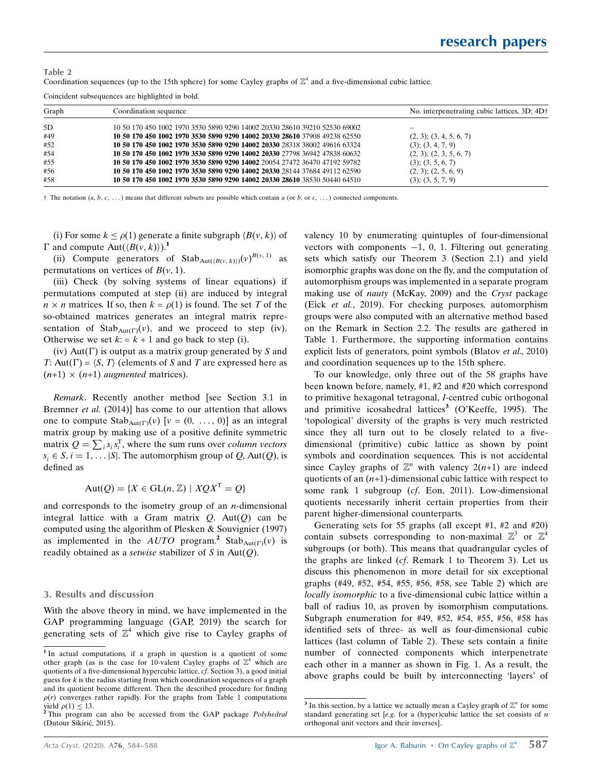| Table 2                                                                                                                       |  |  |
|-------------------------------------------------------------------------------------------------------------------------------|--|--|
| Coordination sequences (up to the 15th sphere) for some Cayley graphs of $\mathbb{Z}^4$ and a five-dimensional cubic lattice. |  |  |

Coincident subsequences are highlighted in bold.

| Graph | Coordination sequence                                                      | No. interpenetrating cubic lattices, 3D; 4D† |
|-------|----------------------------------------------------------------------------|----------------------------------------------|
| 5D    | 10 50 170 450 1002 1970 3530 5890 9290 14002 20330 28610 39210 52530 69002 | $\overline{\phantom{0}}$                     |
| #49   | 10 50 170 450 1002 1970 3530 5890 9290 14002 20330 28610 37908 49238 62550 | $(2, 3)$ ; $(3, 4, 5, 6, 7)$                 |
| #52   | 10 50 170 450 1002 1970 3530 5890 9290 14002 20330 28318 38002 49616 63324 | $(3)$ ; $(3, 4, 7, 9)$                       |
| #54   | 10 50 170 450 1002 1970 3530 5890 9290 14002 20330 27798 36942 47838 60632 | $(2, 3)$ ; $(2, 3, 5, 6, 7)$                 |
| #55   | 10 50 170 450 1002 1970 3530 5890 9290 14002 20054 27472 36470 47192 59782 | $(3)$ ; $(3, 5, 6, 7)$                       |
| #56   | 10 50 170 450 1002 1970 3530 5890 9290 14002 20330 28144 37684 49112 62590 | $(2, 3)$ ; $(2, 5, 6, 9)$                    |
| #58   | 10 50 170 450 1002 1970 3530 5890 9290 14002 20330 28610 38530 50440 64510 | $(3)$ ; $(3, 5, 7, 9)$                       |

<sup>†</sup> The notation  $(a, b, c, ...)$  means that different subsets are possible which contain a (or b, or c, ...) connected components.

(i) For some  $k \leq \rho(1)$  generate a finite subgraph  $\langle B(v, k) \rangle$  of  $\Gamma$  and compute Aut $(\langle B(v, k) \rangle)^{1}$ 

(ii) Compute generators of Stab<sub>Aut( $\langle B(v, k)\rangle$ )</sub> $(v)^{B(v, 1)}$  as permutations on vertices of  $B(v, 1)$ .

(iii) Check (by solving systems of linear equations) if permutations computed at step (ii) are induced by integral  $n \times n$  matrices. If so, then  $k = \rho(1)$  is found. The set T of the so-obtained matrices generates an integral matrix representation of  $Stab<sub>Aut(\Gamma)</sub>(v)$ , and we proceed to step (iv). Otherwise we set  $k = k + 1$  and go back to step (i).

(iv) Aut( $\Gamma$ ) is output as a matrix group generated by S and T: Aut( $\Gamma$ ) =  $\langle S, T \rangle$  (elements of S and T are expressed here as  $(n+1) \times (n+1)$  augmented matrices).

Remark. Recently another method [see Section 3.1 in Bremner *et al.* (2014)] has come to our attention that allows one to compute  $\text{Stab}_{\text{Aut}(\Gamma)}(v)$   $[v = (0, \ldots, 0)]$  as an integral matrix group by making use of a positive definite symmetric matrix  $Q = \sum_i s_i s_i^{\text{T}}$ , where the sum runs over *column vectors*  $s_i \in S$ ,  $i = 1, \ldots |S|$ . The automorphism group of Q, Aut(Q), is defined as

 $Aut(O) = \{X \in GL(n, \mathbb{Z}) \mid XOX^{T} = O\}$ 

and corresponds to the isometry group of an  $n$ -dimensional integral lattice with a Gram matrix  $Q$ . Aut $(Q)$  can be computed using the algorithm of Plesken & Souvignier (1997) as implemented in the  $AUTO$  program.<sup>2</sup> Stab<sub>Aut(T)</sub>(v) is readily obtained as a *setwise* stabilizer of  $S$  in Aut $(Q)$ .

#### 3. Results and discussion

With the above theory in mind, we have implemented in the GAP programming language (GAP, 2019) the search for generating sets of  $\mathbb{Z}^4$  which give rise to Cayley graphs of valency 10 by enumerating quintuples of four-dimensional vectors with components  $-1$ , 0, 1. Filtering out generating sets which satisfy our Theorem 3 (Section 2.1) and yield isomorphic graphs was done on the fly, and the computation of automorphism groups was implemented in a separate program making use of nauty (McKay, 2009) and the Cryst package (Eick et al., 2019). For checking purposes, automorphism groups were also computed with an alternative method based on the Remark in Section 2.2. The results are gathered in Table 1. Furthermore, the supporting information contains explicit lists of generators, point symbols (Blatov *et al.*, 2010) and coordination sequences up to the 15th sphere.

To our knowledge, only three out of the 58 graphs have been known before, namely, #1, #2 and #20 which correspond to primitive hexagonal tetragonal, I-centred cubic orthogonal and primitive icosahedral lattices<sup>3</sup> (O'Keeffe, 1995). The 'topological' diversity of the graphs is very much restricted since they all turn out to be closely related to a fivedimensional (primitive) cubic lattice as shown by point symbols and coordination sequences. This is not accidental since Cayley graphs of  $\mathbb{Z}^n$  with valency  $2(n+1)$  are indeed quotients of an  $(n+1)$ -dimensional cubic lattice with respect to some rank 1 subgroup (cf. Eon, 2011). Low-dimensional quotients necessarily inherit certain properties from their parent higher-dimensional counterparts.

Generating sets for 55 graphs (all except #1, #2 and #20) contain subsets corresponding to non-maximal  $\mathbb{Z}^3$  or  $\mathbb{Z}^4$ subgroups (or both). This means that quadrangular cycles of the graphs are linked (cf. Remark 1 to Theorem 3). Let us discuss this phenomenon in more detail for six exceptional graphs (#49, #52, #54, #55, #56, #58, see Table 2) which are locally isomorphic to a five-dimensional cubic lattice within a ball of radius 10, as proven by isomorphism computations. Subgraph enumeration for #49, #52, #54, #55, #56, #58 has identified sets of three- as well as four-dimensional cubic lattices (last column of Table 2). These sets contain a finite number of connected components which interpenetrate each other in a manner as shown in Fig. 1. As a result, the above graphs could be built by interconnecting 'layers' of

<sup>1</sup> In actual computations, if a graph in question is a quotient of some other graph (as is the case for 10-valent Cayley graphs of  $\mathbb{Z}^4$  which are quotients of a five-dimensional hypercubic lattice, cf. Section 3), a good initial guess for  $k$  is the radius starting from which coordination sequences of a graph and its quotient become different. Then the described procedure for finding  $\rho(r)$  converges rather rapidly. For the graphs from Table 1 computations yield  $\rho(1) \leq 13$ .

This program can also be accessed from the GAP package Polyhedral (Dutour Sikirić, 2015).

<sup>&</sup>lt;sup>3</sup> In this section, by a lattice we actually mean a Cayley graph of  $\mathbb{Z}^n$  for some standard generating set [e.g. for a (hyper)cubic lattice the set consists of  $n$ orthogonal unit vectors and their inverses].